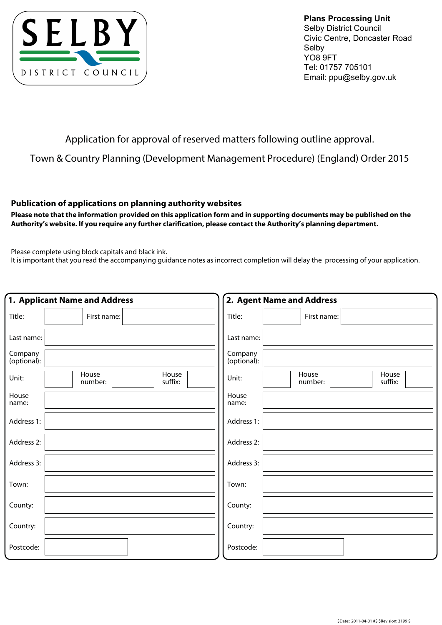

**Plans Processing Unit**  Selby District Council Civic Centre, Doncaster Road Selby YO8 9FT Tel: 01757 705101 Email: ppu@selby.gov.uk

# Application for approval of reserved matters following outline approval.

Town & Country Planning (Development Management Procedure) (England) Order 2015

## **Publication of applications on planning authority websites**

**Please note that the information provided on this application form and in supporting documents may be published on the Authority's website. If you require any further clarification, please contact the Authority's planning department.**

Please complete using block capitals and black ink.

It is important that you read the accompanying guidance notes as incorrect completion will delay the processing of your application.

| 1. Applicant Name and Address |                                      | 2. Agent Name and Address                     |  |  |  |
|-------------------------------|--------------------------------------|-----------------------------------------------|--|--|--|
| Title:                        | First name:                          | Title:<br>First name:                         |  |  |  |
| Last name:                    |                                      | Last name:                                    |  |  |  |
| Company<br>(optional):        |                                      | Company<br>(optional):                        |  |  |  |
| Unit:                         | House<br>House<br>number:<br>suffix: | House<br>House<br>Unit:<br>suffix:<br>number: |  |  |  |
| House<br>name:                |                                      | House<br>name:                                |  |  |  |
| Address 1:                    |                                      | Address 1:                                    |  |  |  |
| Address 2:                    |                                      | Address 2:                                    |  |  |  |
| Address 3:                    |                                      | Address 3:                                    |  |  |  |
| Town:                         |                                      | Town:                                         |  |  |  |
| County:                       |                                      | County:                                       |  |  |  |
| Country:                      |                                      | Country:                                      |  |  |  |
| Postcode:                     |                                      | Postcode:                                     |  |  |  |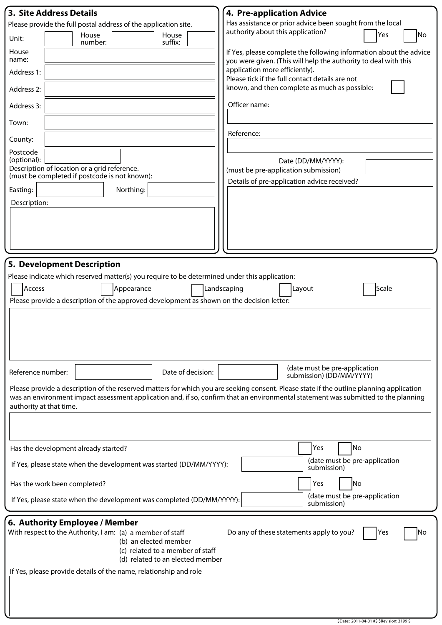| <b>3. Site Address Details</b>                                                                                        | 4. Pre-application Advice                                                                                                                |  |  |  |  |  |
|-----------------------------------------------------------------------------------------------------------------------|------------------------------------------------------------------------------------------------------------------------------------------|--|--|--|--|--|
| Please provide the full postal address of the application site.                                                       | Has assistance or prior advice been sought from the local                                                                                |  |  |  |  |  |
| House<br>House<br>Unit:<br>suffix:<br>number:                                                                         | authority about this application?<br>Yes<br>No                                                                                           |  |  |  |  |  |
| House<br>name:                                                                                                        | If Yes, please complete the following information about the advice<br>you were given. (This will help the authority to deal with this    |  |  |  |  |  |
| Address 1:                                                                                                            | application more efficiently).<br>Please tick if the full contact details are not                                                        |  |  |  |  |  |
| Address 2:                                                                                                            | known, and then complete as much as possible:                                                                                            |  |  |  |  |  |
| Address 3:                                                                                                            | Officer name:                                                                                                                            |  |  |  |  |  |
| Town:                                                                                                                 | Reference:                                                                                                                               |  |  |  |  |  |
| County:                                                                                                               |                                                                                                                                          |  |  |  |  |  |
| Postcode<br>(optional):                                                                                               | Date (DD/MM/YYYY):                                                                                                                       |  |  |  |  |  |
| Description of location or a grid reference.<br>(must be completed if postcode is not known):                         | (must be pre-application submission)                                                                                                     |  |  |  |  |  |
| Northing:<br>Easting:                                                                                                 | Details of pre-application advice received?                                                                                              |  |  |  |  |  |
| Description:                                                                                                          |                                                                                                                                          |  |  |  |  |  |
|                                                                                                                       |                                                                                                                                          |  |  |  |  |  |
|                                                                                                                       |                                                                                                                                          |  |  |  |  |  |
|                                                                                                                       |                                                                                                                                          |  |  |  |  |  |
|                                                                                                                       |                                                                                                                                          |  |  |  |  |  |
| 5. Development Description                                                                                            |                                                                                                                                          |  |  |  |  |  |
| Please indicate which reserved matter(s) you require to be determined under this application:                         |                                                                                                                                          |  |  |  |  |  |
| Access<br>Appearance                                                                                                  | Landscaping<br>Layout<br>Scale                                                                                                           |  |  |  |  |  |
| Please provide a description of the approved development as shown on the decision letter:                             |                                                                                                                                          |  |  |  |  |  |
|                                                                                                                       |                                                                                                                                          |  |  |  |  |  |
|                                                                                                                       |                                                                                                                                          |  |  |  |  |  |
|                                                                                                                       |                                                                                                                                          |  |  |  |  |  |
|                                                                                                                       |                                                                                                                                          |  |  |  |  |  |
| Reference number:                                                                                                     | (date must be pre-application<br>Date of decision:<br>submission) (DD/MM/YYYY)                                                           |  |  |  |  |  |
|                                                                                                                       | Please provide a description of the reserved matters for which you are seeking consent. Please state if the outline planning application |  |  |  |  |  |
|                                                                                                                       | was an environment impact assessment application and, if so, confirm that an environmental statement was submitted to the planning       |  |  |  |  |  |
| authority at that time.                                                                                               |                                                                                                                                          |  |  |  |  |  |
|                                                                                                                       |                                                                                                                                          |  |  |  |  |  |
|                                                                                                                       |                                                                                                                                          |  |  |  |  |  |
| Has the development already started?                                                                                  | Yes<br>No                                                                                                                                |  |  |  |  |  |
| If Yes, please state when the development was started (DD/MM/YYYY):                                                   | (date must be pre-application<br>submission)                                                                                             |  |  |  |  |  |
| Has the work been completed?                                                                                          | Yes<br>No                                                                                                                                |  |  |  |  |  |
| (date must be pre-application<br>If Yes, please state when the development was completed (DD/MM/YYYY):<br>submission) |                                                                                                                                          |  |  |  |  |  |
| 6. Authority Employee / Member                                                                                        |                                                                                                                                          |  |  |  |  |  |
| With respect to the Authority, I am: (a) a member of staff                                                            | Do any of these statements apply to you?<br>Yes<br>lNo                                                                                   |  |  |  |  |  |
| (b) an elected member<br>(c) related to a member of staff                                                             |                                                                                                                                          |  |  |  |  |  |
| (d) related to an elected member                                                                                      |                                                                                                                                          |  |  |  |  |  |
| If Yes, please provide details of the name, relationship and role                                                     |                                                                                                                                          |  |  |  |  |  |
|                                                                                                                       |                                                                                                                                          |  |  |  |  |  |
|                                                                                                                       |                                                                                                                                          |  |  |  |  |  |
|                                                                                                                       |                                                                                                                                          |  |  |  |  |  |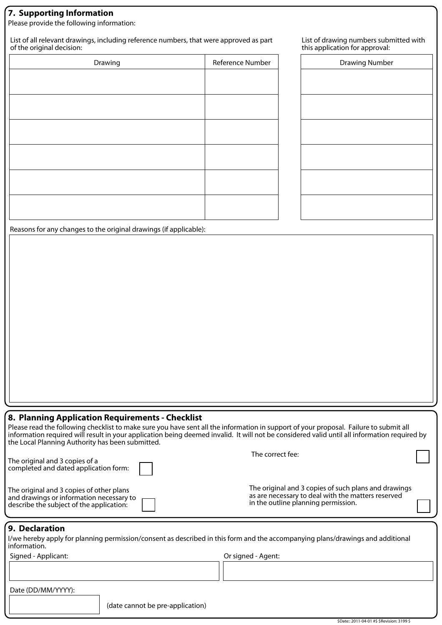# **7. Supporting Information**

Please provide the following information:

List of all relevant drawings, including reference numbers, that were approved as part of the original decision:

| Reference Number |  |
|------------------|--|
|                  |  |
|                  |  |
|                  |  |
|                  |  |
|                  |  |
|                  |  |
|                  |  |
|                  |  |
|                  |  |
|                  |  |
|                  |  |
|                  |  |
|                  |  |

List of drawing numbers submitted with this application for approval:

| <b>Drawing Number</b> |  |  |  |
|-----------------------|--|--|--|
|                       |  |  |  |
|                       |  |  |  |
|                       |  |  |  |
|                       |  |  |  |
|                       |  |  |  |
|                       |  |  |  |

Reasons for any changes to the original drawings (if applicable):

## **8. Planning Application Requirements - Checklist**

Please read the following checklist to make sure you have sent all the information in support of your proposal. Failure to submit all information required will result in your application being deemed invalid. It will not be considered valid until all information required by the Local Planning Authority has been submitted.

| The original and 3 copies of a<br>completed and dated application form:                                                          | The correct fee:                                                                                                                                  |  |
|----------------------------------------------------------------------------------------------------------------------------------|---------------------------------------------------------------------------------------------------------------------------------------------------|--|
| The original and 3 copies of other plans<br>and drawings or information necessary to<br>describe the subject of the application: | The original and 3 copies of such plans and drawings<br>as are necessary to deal with the matters reserved<br>in the outline planning permission. |  |

#### **9. Declaration**

I/we hereby apply for planning permission/consent as described in this form and the accompanying plans/drawings and additional information.

Signed - Applicant: Or signed - Agent:

Date (DD/MM/YYYY):

(date cannot be pre-application)